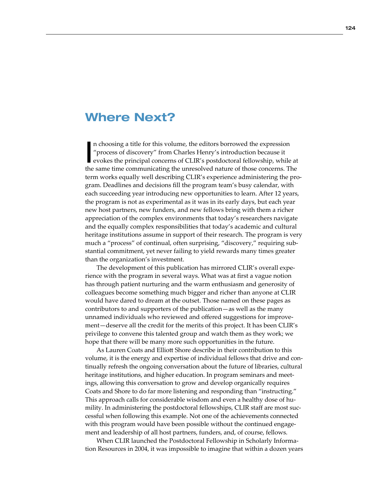## Where Next?

I n choosing a title for this volume, the editors borrowed the expression "process of discovery" from Charles Henry's introduction because it evokes the principal concerns of CLIR's postdoctoral fellowship, while at the same time communicating the unresolved nature of those concerns. The term works equally well describing CLIR's experience administering the program. Deadlines and decisions fill the program team's busy calendar, with each succeeding year introducing new opportunities to learn. After 12 years, the program is not as experimental as it was in its early days, but each year new host partners, new funders, and new fellows bring with them a richer appreciation of the complex environments that today's researchers navigate and the equally complex responsibilities that today's academic and cultural heritage institutions assume in support of their research. The program is very much a "process" of continual, often surprising, "discovery," requiring substantial commitment, yet never failing to yield rewards many times greater than the organization's investment.

The development of this publication has mirrored CLIR's overall experience with the program in several ways. What was at first a vague notion has through patient nurturing and the warm enthusiasm and generosity of colleagues become something much bigger and richer than anyone at CLIR would have dared to dream at the outset. Those named on these pages as contributors to and supporters of the publication—as well as the many unnamed individuals who reviewed and offered suggestions for improvement—deserve all the credit for the merits of this project. It has been CLIR's privilege to convene this talented group and watch them as they work; we hope that there will be many more such opportunities in the future.

As Lauren Coats and Elliott Shore describe in their contribution to this volume, it is the energy and expertise of individual fellows that drive and continually refresh the ongoing conversation about the future of libraries, cultural heritage institutions, and higher education. In program seminars and meetings, allowing this conversation to grow and develop organically requires Coats and Shore to do far more listening and responding than "instructing." This approach calls for considerable wisdom and even a healthy dose of humility. In administering the postdoctoral fellowships, CLIR staff are most successful when following this example. Not one of the achievements connected with this program would have been possible without the continued engagement and leadership of all host partners, funders, and, of course, fellows.

When CLIR launched the Postdoctoral Fellowship in Scholarly Information Resources in 2004, it was impossible to imagine that within a dozen years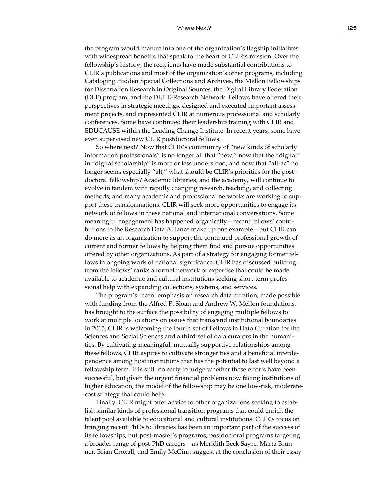the program would mature into one of the organization's flagship initiatives with widespread benefits that speak to the heart of CLIR's mission. Over the fellowship's history, the recipients have made substantial contributions to CLIR's publications and most of the organization's other programs, including Cataloging Hidden Special Collections and Archives, the Mellon Fellowships for Dissertation Research in Original Sources, the Digital Library Federation (DLF) program, and the DLF E-Research Network. Fellows have offered their perspectives in strategic meetings, designed and executed important assessment projects, and represented CLIR at numerous professional and scholarly conferences. Some have continued their leadership training with CLIR and EDUCAUSE within the Leading Change Institute. In recent years, some have even supervised new CLIR postdoctoral fellows.

So where next? Now that CLIR's community of "new kinds of scholarly information professionals" is no longer all that "new," now that the "digital" in "digital scholarship" is more or less understood, and now that "alt-ac" no longer seems especially "alt," what should be CLIR's priorities for the postdoctoral fellowship? Academic libraries, and the academy, will continue to evolve in tandem with rapidly changing research, teaching, and collecting methods, and many academic and professional networks are working to support these transformations. CLIR will seek more opportunities to engage its network of fellows in these national and international conversations. Some meaningful engagement has happened organically—recent fellows' contributions to the Research Data Alliance make up one example—but CLIR can do more as an organization to support the continued professional growth of current and former fellows by helping them find and pursue opportunities offered by other organizations. As part of a strategy for engaging former fellows in ongoing work of national significance, CLIR has discussed building from the fellows' ranks a formal network of expertise that could be made available to academic and cultural institutions seeking short-term professional help with expanding collections, systems, and services.

The program's recent emphasis on research data curation, made possible with funding from the Alfred P. Sloan and Andrew W. Mellon foundations, has brought to the surface the possibility of engaging multiple fellows to work at multiple locations on issues that transcend institutional boundaries. In 2015, CLIR is welcoming the fourth set of Fellows in Data Curation for the Sciences and Social Sciences and a third set of data curators in the humanities. By cultivating meaningful, mutually supportive relationships among these fellows, CLIR aspires to cultivate stronger ties and a beneficial interdependence among host institutions that has the potential to last well beyond a fellowship term. It is still too early to judge whether these efforts have been successful, but given the urgent financial problems now facing institutions of higher education, the model of the fellowship may be one low-risk, moderatecost strategy that could help.

Finally, CLIR might offer advice to other organizations seeking to establish similar kinds of professional transition programs that could enrich the talent pool available to educational and cultural institutions. CLIR's focus on bringing recent PhDs to libraries has been an important part of the success of its fellowships, but post-master's programs, postdoctoral programs targeting a broader range of post-PhD careers—as Meridith Beck Sayre, Marta Brunner, Brian Croxall, and Emily McGinn suggest at the conclusion of their essay